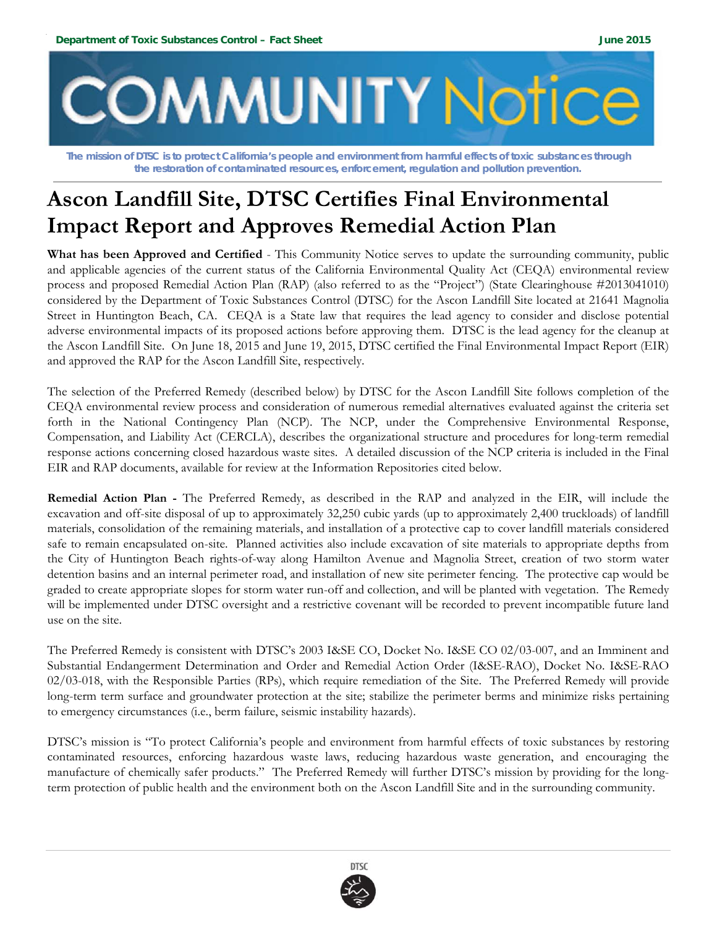

 **The mission of DTSC is to protect California's people and environment from harmful effects of toxic substances through the restoration of contaminated resources, enforcement, regulation and pollution prevention.** 

# **Ascon Landfill Site, DTSC Certifies Final Environmental Impact Report and Approves Remedial Action Plan**

**What has been Approved and Certified** - This Community Notice serves to update the surrounding community, public and applicable agencies of the current status of the California Environmental Quality Act (CEQA) environmental review process and proposed Remedial Action Plan (RAP) (also referred to as the "Project") (State Clearinghouse #2013041010) considered by the Department of Toxic Substances Control (DTSC) for the Ascon Landfill Site located at 21641 Magnolia Street in Huntington Beach, CA. CEQA is a State law that requires the lead agency to consider and disclose potential adverse environmental impacts of its proposed actions before approving them. DTSC is the lead agency for the cleanup at the Ascon Landfill Site. On June 18, 2015 and June 19, 2015, DTSC certified the Final Environmental Impact Report (EIR) and approved the RAP for the Ascon Landfill Site, respectively.

The selection of the Preferred Remedy (described below) by DTSC for the Ascon Landfill Site follows completion of the CEQA environmental review process and consideration of numerous remedial alternatives evaluated against the criteria set forth in the National Contingency Plan (NCP). The NCP, under the Comprehensive Environmental Response, Compensation, and Liability Act (CERCLA), describes the organizational structure and procedures for long-term remedial response actions concerning closed hazardous waste sites. A detailed discussion of the NCP criteria is included in the Final EIR and RAP documents, available for review at the Information Repositories cited below.

**Remedial Action Plan -** The Preferred Remedy, as described in the RAP and analyzed in the EIR, will include the excavation and off-site disposal of up to approximately 32,250 cubic yards (up to approximately 2,400 truckloads) of landfill materials, consolidation of the remaining materials, and installation of a protective cap to cover landfill materials considered safe to remain encapsulated on-site. Planned activities also include excavation of site materials to appropriate depths from the City of Huntington Beach rights-of-way along Hamilton Avenue and Magnolia Street, creation of two storm water detention basins and an internal perimeter road, and installation of new site perimeter fencing. The protective cap would be graded to create appropriate slopes for storm water run-off and collection, and will be planted with vegetation. The Remedy will be implemented under DTSC oversight and a restrictive covenant will be recorded to prevent incompatible future land use on the site.

The Preferred Remedy is consistent with DTSC's 2003 I&SE CO, Docket No. I&SE CO 02/03-007, and an Imminent and Substantial Endangerment Determination and Order and Remedial Action Order (I&SE-RAO), Docket No. I&SE-RAO 02/03-018, with the Responsible Parties (RPs), which require remediation of the Site. The Preferred Remedy will provide long-term term surface and groundwater protection at the site; stabilize the perimeter berms and minimize risks pertaining to emergency circumstances (i.e., berm failure, seismic instability hazards).

DTSC's mission is "To protect California's people and environment from harmful effects of toxic substances by restoring contaminated resources, enforcing hazardous waste laws, reducing hazardous waste generation, and encouraging the manufacture of chemically safer products." The Preferred Remedy will further DTSC's mission by providing for the longterm protection of public health and the environment both on the Ascon Landfill Site and in the surrounding community.